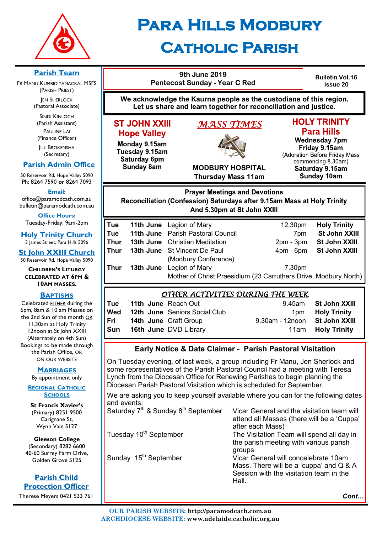

# **Para Hills Modbury**

# **Catholic Parish**

**Parish Team 9th June 2019 Bulletin Vol.16 Pentecost Sunday - Year C Red** FR MANU KUMBIDIYAMACKAL MSFS **Issue 20** (PARISH PRIEST) **We acknowledge the Kaurna people as the custodians of this region. JEN SHERLOCK** (Pastoral Associate) **Let us share and learn together for reconciliation and justice.** SINDI KINLOCH **HOLY TRINITY** (Parish Assistant) **ST JOHN XXIII** *MASS TIMES*  PAULINE LAI **Para Hills Hope Valley** (Finance Officer) **Wednesday 7pm** Monday 9.15am **IILL BROKENSHA** Friday 9.15am Tuesday 9.15am (Secretary) (Adoration Before Friday Mass Saturday 6pm commencing 8.30am)  **Parish Admin Office Sunday 8am MODBURY HOSPITAL** Saturday 9.15am 50 Reservoir Rd, Hope Valley 5090 **Thursday Mass 11am Sunday 10am** Ph: 8264 7590 *or* 8264 7093 **Email: Prayer Meetings and Devotions** office@paramodcath.com.au Reconciliation (Confession) Saturdays after 9.15am Mass at Holy Trinity bulletin@paramodcath.com.au And 5.30pm at St John XXIII **Office Hours:**  Tuesday-Friday: 9am-2pm **Tue 11th June** Legion of Mary 12.30pm **Holy Trinity Tue 11th June** Parish Pastoral Council 7pm **St John XXIII Thur 13th June** Christian Meditation 2pm - 3pm **St John XXIII Thur 13th June** St Vincent De Paul 4pm - 6pm **St John XXIII** (Modbury Conference) **Thur 13th June** Legion of Mary 7.30pm Mother of Christ Praesidium (23 Carruthers Drive, Modbury North) *OTHER ACTIVITIES DURING THE WEEK*  **Tue 11th June** Reach Out 9.45am **St John XXIII Wed 12th June** Seniors Social Club 1pm **Holy Trinity Fri 14th June** Craft Group 9.30am - 12noon **St John XXIII Sun 16th June** DVD Library 11am **Holy Trinity Early Notice & Date Claimer - Parish Pastoral Visitation** On Tuesday evening, of last week, a group including Fr Manu, Jen Sherlock and some representatives of the Parish Pastoral Council had a meeting with Teresa Lynch from the Diocesan Office for Renewing Parishes to begin planning the Diocesan Parish Pastoral Visitation which is scheduled for September. **REGIONAL CATHOLIC** We are asking you to keep yourself available where you can for the following dates and events: Saturday  $7<sup>th</sup>$  & Sunday 8<sup>th</sup> September Vicar General and the visitation team will attend all Masses (there will be a 'Cuppa' after each Mass) Tuesday 10<sup>th</sup> September The Visitation Team will spend all day in the parish meeting with various parish

*Cont...*

**Holy Trinity Church** 3 James Street, Para Hills 5096

**St John XXIII Church** 50 Reservoir Rd, Hope Valley 5090

**CHILDREN'S LITURGY CELEBRATED AT 6PM & 10AM MASSES.**

#### **BAPTISMS**

Celebrated EITHER during the 6pm, 8am & 10 am Masses on the 2nd Sun of the month OR 11.30am at Holy Trinity 12noon at St John XXIII (Alternately on 4th Sun) Bookings to be made through the Parish Office, OR ON OUR WEBSITE

#### **MARRIAGES**

By appointment only

**SCHOOLS**

**St Francis Xavier's**  (Primary) 8251 9500 Carignane St, Wynn Vale 5127

**Gleeson College**  (Secondary) 8282 6600 40-60 Surrey Farm Drive, Golden Grove 5125

**Parish Child Protection Officer**

Therese Meyers 0421 533 761

| after each Mass)<br>The Visitation Team will spend all day in                                                              |
|----------------------------------------------------------------------------------------------------------------------------|
| the parish meeting with various parish                                                                                     |
| Vicar General will concelebrate 10am<br>Mass. There will be a 'cuppa' and Q & A<br>Session with the visitation team in the |
|                                                                                                                            |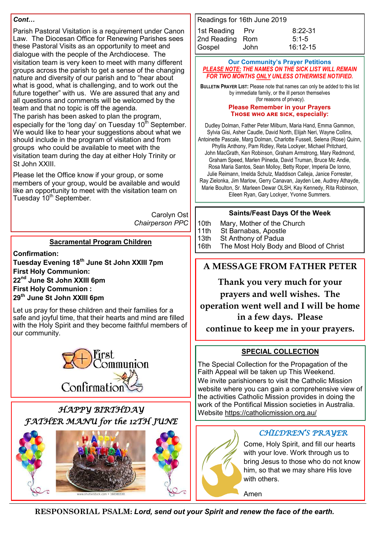#### *Cont…*

Parish Pastoral Visitation is a requirement under Canon Law. The Diocesan Office for Renewing Parishes sees these Pastoral Visits as an opportunity to meet and dialogue with the people of the Archdiocese. The visitation team is very keen to meet with many different groups across the parish to get a sense of the changing nature and diversity of our parish and to "hear about what is good, what is challenging, and to work out the future together" with us. We are assured that any and all questions and comments will be welcomed by the team and that no topic is off the agenda.

The parish has been asked to plan the program, especially for the 'long day' on Tuesday  $10^{th}$  September. We would like to hear your suggestions about what we should include in the program of visitation and from groups who could be available to meet with the visitation team during the day at either Holy Trinity or St John XXIII.

Please let the Office know if your group, or some members of your group, would be available and would like an opportunity to meet with the visitation team on Tuesday 10<sup>th</sup> September.

> Carolyn Ost *Chairperson PPC*

#### **Sacramental Program Children**

**Confirmation: Tuesday Evening 18th June St John XXIII 7pm First Holy Communion: 22nd June St John XXIII 6pm First Holy Communion : 29th June St John XXIII 6pm**

Let us pray for these children and their families for a safe and joyful time, that their hearts and mind are filled with the Holy Spirit and they become faithful members of our community.



# *HAPPY BIRTHDAY FATHER MANU for the 12TH JUNE*



| Readings for 16th June 2019 |           |  |
|-----------------------------|-----------|--|
| Prv                         | $8:22-31$ |  |
| 2nd Reading Rom             | $5:1-5$   |  |
| John                        | 16:12-15  |  |
|                             |           |  |

#### **Our Community's Prayer Petitions**  *PLEASE NOTE: THE NAMES ON THE SICK LIST WILL REMAIN FOR TWO MONTHS ONLY UNLESS OTHERWISE NOTIFIED.*

**BULLETIN PRAYER LIST:** Please note that names can only be added to this list by immediate family, or the ill person themselves (for reasons of privacy).

#### **Please Remember in your Prayers Those who are sick, especially:**

Dudley Dolman, Father Peter Milburn, Maria Hand, Emma Gammon, Sylvia Gisi, Asher Caudle, David North, Elijah Neri, Wayne Collins, Antoinette Pascale, Marg Dolman, Charlotte Fussell, Selena (Rose) Quinn, Phyllis Anthony, Pam Ridley, Reta Lockyer, Michael Pritchard, John MacGrath, Ken Robinson, Graham Armstrong, Mary Redmond, Graham Speed, Marlen Piineda, David Truman, Bruce Mc Andie, Rosa Maria Santos, Sean Molloy, Betty Roper, Imperia De Ionno, Julie Reimann, Imelda Schulz, Maddison Calleja, Janice Forrester, Ray Zielonka, Jim Marlow, Gerry Canavan, Jayden Lee, Audrey Athayde, Marie Boulton, Sr. Marleen Dewar OLSH, Kay Kennedy, Rita Robinson, Eileen Ryan, Gary Lockyer, Yvonne Summers.

#### **Saints/Feast Days Of the Week**

- 10th Mary, Mother of the Church
- 11th St Barnabas, Apostle
- 13th St Anthony of Padua
- 16th The Most Holy Body and Blood of Christ

# **A MESSAGE FROM FATHER PETER**

**Thank you very much for your prayers and well wishes. The operation went well and I will be home in a few days. Please continue to keep me in your prayers.**

#### **SPECIAL COLLECTION**

The Special Collection for the Propagation of the Faith Appeal will be taken up This Weekend. We invite parishioners to visit the Catholic Mission website where you can gain a comprehensive view of the activities Catholic Mission provides in doing the work of the Pontifical Mission societies in Australia.

#### *CHILDREN'S PRAYER*

Come, Holy Spirit, and fill our hearts with your love. Work through us to bring Jesus to those who do not know him, so that we may share His love with others.

Amen

Website<https://catholicmission.org.au/>

**RESPONSORIAL PSALM:** *Lord, send out your Spirit and renew the face of the earth.*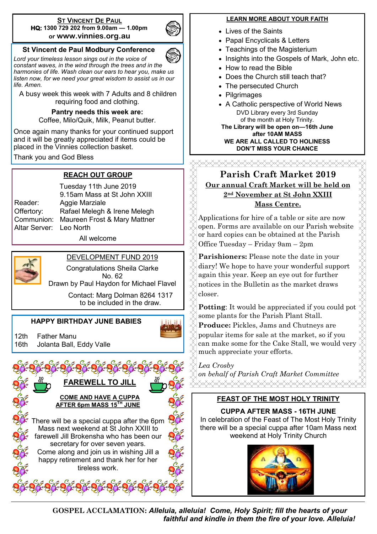#### **ST VINCENT DE PAUL HQ: 1300 729 202 from 9.00am — 1.00pm or www.vinnies.org.au**



#### **St Vincent de Paul Modbury Conference**

*Lord your timeless lesson sings out in the voice of constant waves, in the wind through the trees and in the harmonies of life. Wash clean our ears to hear you, make us listen now, for we need your great wisdom to assist us in our life. Amen.*

A busy week this week with 7 Adults and 8 children requiring food and clothing.

#### **Pantry needs this week are:**

Coffee, Milo/Quik, Milk, Peanut butter.

Once again many thanks for your continued support and it will be greatly appreciated if items could be placed in the Vinnies collection basket.

Thank you and God Bless

#### **REACH OUT GROUP**

Altar Server: Leo North

Tuesday 11th June 2019 9.15am Mass at St John XXIII Reader: Aggie Marziale Offertory: Rafael Melegh & Irene Melegh Communion: Maureen Frost & Mary Mattner

All welcome



#### DEVELOPMENT FUND 2019

Congratulations Sheila Clarke No. 62 Drawn by Paul Haydon for Michael Flavel

> Contact: Marg Dolman 8264 1317 to be included in the draw.

#### **HAPPY BIRTHDAY JUNE BABIES**

12th Father Manu 16th Jolanta Ball, Eddy Valle



#### **LEARN MORE ABOUT YOUR FAITH**

- Lives of the Saints
- Papal Encyclicals & Letters
- Teachings of the Magisterium
- Insights into the Gospels of Mark, John etc.
- How to read the Bible
- Does the Church still teach that?
- The persecuted Church
- Pilgrimages
- A Catholic perspective of World News DVD Library every 3rd Sunday of the month at Holy Trinity. **The Library will be open on—16th June**

**after 10AM MASS WE ARE ALL CALLED TO HOLINESS DON'T MISS YOUR CHANCE**

# **Parish Craft Market 2019 Our annual Craft Market will be held on 2nd November at St John XXIII Mass Centre.**

Applications for hire of a table or site are now open. Forms are available on our Parish website or hard copies can be obtained at the Parish Office Tuesday – Friday 9am – 2pm

**Parishioners:** Please note the date in your diary! We hope to have your wonderful support again this year. Keep an eye out for further notices in the Bulletin as the market draws closer.

**Potting**: It would be appreciated if you could pot some plants for the Parish Plant Stall. **Produce:** Pickles, Jams and Chutneys are popular items for sale at the market, so if you can make some for the Cake Stall, we would very much appreciate your efforts.

*Lea Crosby* 

*on behalf of Parish Craft Market Committee*

#### **FEAST OF THE MOST HOLY TRINITY**

**CUPPA AFTER MASS - 16TH JUNE** In celebration of the Feast of The Most Holy Trinity there will be a special cuppa after 10am Mass next weekend at Holy Trinity Church



**GOSPEL ACCLAMATION:** *Alleluia, alleluia! Come, Holy Spirit; fill the hearts of your faithful and kindle in them the fire of your love. Alleluia!*